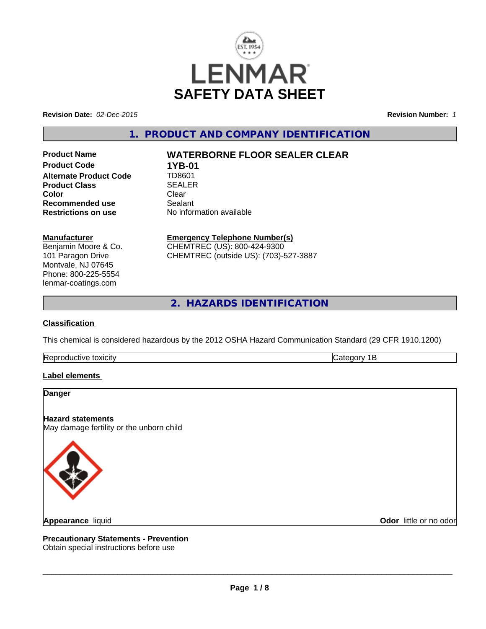

**Revision Date:** *02-Dec-2015* **Revision Number:** *1*

# **1. PRODUCT AND COMPANY IDENTIFICATION**

**Product Name WATERBORNE FLOOR SEALER CLEAR Product Code 1YB-01**<br>**Alternate Product Code 1D8601 Alternate Product Code Product Class** SEALER<br> **Color** Clear **Color** Clear Clear **Recommended use** Sealant **Restrictions on use** No information available

**Manufacturer**

Benjamin Moore & Co. 101 Paragon Drive Montvale, NJ 07645 Phone: 800-225-5554 lenmar-coatings.com

**Emergency Telephone Number(s)**

CHEMTREC (US): 800-424-9300 CHEMTREC (outside US): (703)-527-3887

**2. HAZARDS IDENTIFICATION**

# **Classification**

This chemical is considered hazardous by the 2012 OSHA Hazard Communication Standard (29 CFR 1910.1200)

Reproductive toxicity **Category 1B** 

# **Label elements**

**Danger**

**Hazard statements**

May damage fertility or the unborn child



**Appearance** liquid

**Odor** little or no odor

**Precautionary Statements - Prevention** Obtain special instructions before use

 $\overline{\phantom{a}}$  ,  $\overline{\phantom{a}}$  ,  $\overline{\phantom{a}}$  ,  $\overline{\phantom{a}}$  ,  $\overline{\phantom{a}}$  ,  $\overline{\phantom{a}}$  ,  $\overline{\phantom{a}}$  ,  $\overline{\phantom{a}}$  ,  $\overline{\phantom{a}}$  ,  $\overline{\phantom{a}}$  ,  $\overline{\phantom{a}}$  ,  $\overline{\phantom{a}}$  ,  $\overline{\phantom{a}}$  ,  $\overline{\phantom{a}}$  ,  $\overline{\phantom{a}}$  ,  $\overline{\phantom{a}}$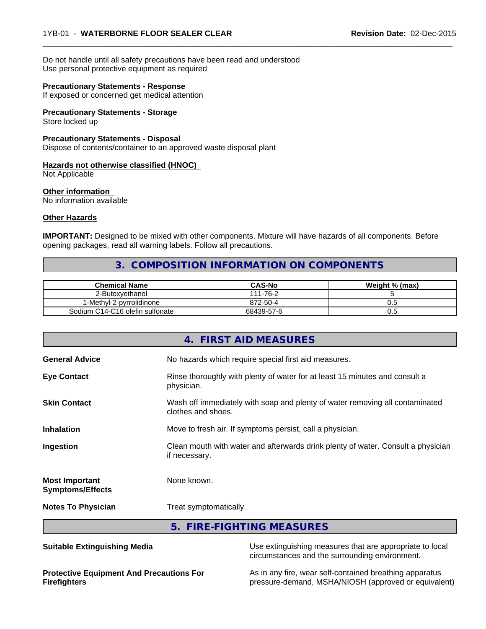Do not handle until all safety precautions have been read and understood Use personal protective equipment as required

### **Precautionary Statements - Response**

If exposed or concerned get medical attention

# **Precautionary Statements - Storage**

Store locked up

#### **Precautionary Statements - Disposal**

Dispose of contents/container to an approved waste disposal plant

# **Hazards not otherwise classified (HNOC)**

Not Applicable

#### **Other information** No information available

# **Other Hazards**

**IMPORTANT:** Designed to be mixed with other components. Mixture will have hazards of all components. Before opening packages, read all warning labels. Follow all precautions.

# **3. COMPOSITION INFORMATION ON COMPONENTS**

 $\overline{\phantom{a}}$  ,  $\overline{\phantom{a}}$  ,  $\overline{\phantom{a}}$  ,  $\overline{\phantom{a}}$  ,  $\overline{\phantom{a}}$  ,  $\overline{\phantom{a}}$  ,  $\overline{\phantom{a}}$  ,  $\overline{\phantom{a}}$  ,  $\overline{\phantom{a}}$  ,  $\overline{\phantom{a}}$  ,  $\overline{\phantom{a}}$  ,  $\overline{\phantom{a}}$  ,  $\overline{\phantom{a}}$  ,  $\overline{\phantom{a}}$  ,  $\overline{\phantom{a}}$  ,  $\overline{\phantom{a}}$ 

| <b>Chemical Name</b>            | <b>CAS-No</b> | Weight % (max) |
|---------------------------------|---------------|----------------|
| 2-Butoxvethanol                 | 111-76-2      |                |
| -Methyl-2-pyrrolidinone         | 872-50-4      | ∪.⊾            |
| Sodium C14-C16 olefin sulfonate | 68439-57-6    | v.J            |

|                                                  | 4. FIRST AID MEASURES                                                                              |
|--------------------------------------------------|----------------------------------------------------------------------------------------------------|
| <b>General Advice</b>                            | No hazards which require special first aid measures.                                               |
| <b>Eye Contact</b>                               | Rinse thoroughly with plenty of water for at least 15 minutes and consult a<br>physician.          |
| <b>Skin Contact</b>                              | Wash off immediately with soap and plenty of water removing all contaminated<br>clothes and shoes. |
| <b>Inhalation</b>                                | Move to fresh air. If symptoms persist, call a physician.                                          |
| Ingestion                                        | Clean mouth with water and afterwards drink plenty of water. Consult a physician<br>if necessary.  |
| <b>Most Important</b><br><b>Symptoms/Effects</b> | None known.                                                                                        |
| <b>Notes To Physician</b>                        | Treat symptomatically.                                                                             |
|                                                  | 5. FIRE-FIGHTING MEASURES                                                                          |

**Suitable Extinguishing Media** Media Use extinguishing measures that are appropriate to local circumstances and the surrounding environment.

**Protective Equipment And Precautions For Firefighters**

As in any fire, wear self-contained breathing apparatus pressure-demand, MSHA/NIOSH (approved or equivalent)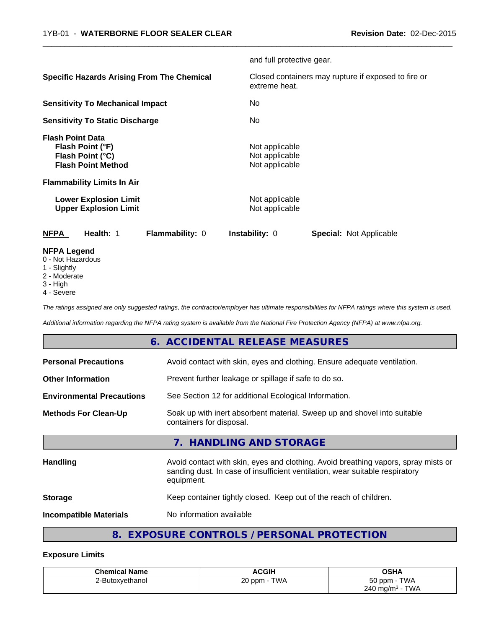|                                                                                                                                   |                                                   | and full protective gear.                          |                                                     |
|-----------------------------------------------------------------------------------------------------------------------------------|---------------------------------------------------|----------------------------------------------------|-----------------------------------------------------|
|                                                                                                                                   | <b>Specific Hazards Arising From The Chemical</b> | extreme heat.                                      | Closed containers may rupture if exposed to fire or |
| <b>Sensitivity To Mechanical Impact</b>                                                                                           |                                                   | No                                                 |                                                     |
| <b>Sensitivity To Static Discharge</b>                                                                                            |                                                   | No                                                 |                                                     |
| <b>Flash Point Data</b><br>Flash Point (°F)<br>Flash Point (°C)<br><b>Flash Point Method</b><br><b>Flammability Limits In Air</b> |                                                   | Not applicable<br>Not applicable<br>Not applicable |                                                     |
| <b>Lower Explosion Limit</b><br><b>Upper Explosion Limit</b>                                                                      |                                                   | Not applicable<br>Not applicable                   |                                                     |
| <b>NFPA</b><br>Health: 1                                                                                                          | Flammability: 0                                   | Instability: 0                                     | <b>Special: Not Applicable</b>                      |
| <b>NFPA Legend</b><br>0 - Not Hazardous<br>1 - Slightly<br>2 - Moderate                                                           |                                                   |                                                    |                                                     |

 $\overline{\phantom{a}}$  ,  $\overline{\phantom{a}}$  ,  $\overline{\phantom{a}}$  ,  $\overline{\phantom{a}}$  ,  $\overline{\phantom{a}}$  ,  $\overline{\phantom{a}}$  ,  $\overline{\phantom{a}}$  ,  $\overline{\phantom{a}}$  ,  $\overline{\phantom{a}}$  ,  $\overline{\phantom{a}}$  ,  $\overline{\phantom{a}}$  ,  $\overline{\phantom{a}}$  ,  $\overline{\phantom{a}}$  ,  $\overline{\phantom{a}}$  ,  $\overline{\phantom{a}}$  ,  $\overline{\phantom{a}}$ 

- 
- 3 High
- 4 Severe

*The ratings assigned are only suggested ratings, the contractor/employer has ultimate responsibilities for NFPA ratings where this system is used.*

*Additional information regarding the NFPA rating system is available from the National Fire Protection Agency (NFPA) at www.nfpa.org.*

# **6. ACCIDENTAL RELEASE MEASURES**

| <b>Incompatible Materials</b>    | No information available                                                                                                                                                         |  |
|----------------------------------|----------------------------------------------------------------------------------------------------------------------------------------------------------------------------------|--|
| <b>Storage</b>                   | Keep container tightly closed. Keep out of the reach of children.                                                                                                                |  |
| Handling                         | Avoid contact with skin, eyes and clothing. Avoid breathing vapors, spray mists or<br>sanding dust. In case of insufficient ventilation, wear suitable respiratory<br>equipment. |  |
|                                  | 7. HANDLING AND STORAGE                                                                                                                                                          |  |
| <b>Methods For Clean-Up</b>      | Soak up with inert absorbent material. Sweep up and shovel into suitable<br>containers for disposal.                                                                             |  |
| <b>Environmental Precautions</b> | See Section 12 for additional Ecological Information.                                                                                                                            |  |
| <b>Other Information</b>         | Prevent further leakage or spillage if safe to do so.                                                                                                                            |  |
| <b>Personal Precautions</b>      | Avoid contact with skin, eyes and clothing. Ensure adequate ventilation.                                                                                                         |  |

# **8. EXPOSURE CONTROLS / PERSONAL PROTECTION**

# **Exposure Limits**

| <b>Chemical Name</b> | <b>ACGIH</b>                         | <b>OSHA</b>                           |
|----------------------|--------------------------------------|---------------------------------------|
| 2-Butoxvethanol      | <b>TWA</b><br>$\sim$ nom - .<br>∠∪ ' | <b>TWA</b><br>$50$ ppm $-$            |
|                      |                                      | <b>TWA</b><br>240 mg/m <sup>3</sup> - |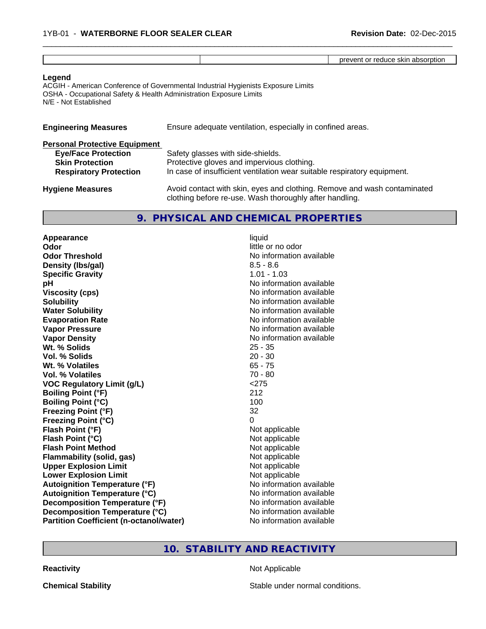|  |  |  | - ---<br>יו לי<br>nn.<br><br>apsorption<br>эг<br>זו<br>$\cdots$<br>אווח הי |
|--|--|--|----------------------------------------------------------------------------|
|--|--|--|----------------------------------------------------------------------------|

 $\overline{\phantom{a}}$  ,  $\overline{\phantom{a}}$  ,  $\overline{\phantom{a}}$  ,  $\overline{\phantom{a}}$  ,  $\overline{\phantom{a}}$  ,  $\overline{\phantom{a}}$  ,  $\overline{\phantom{a}}$  ,  $\overline{\phantom{a}}$  ,  $\overline{\phantom{a}}$  ,  $\overline{\phantom{a}}$  ,  $\overline{\phantom{a}}$  ,  $\overline{\phantom{a}}$  ,  $\overline{\phantom{a}}$  ,  $\overline{\phantom{a}}$  ,  $\overline{\phantom{a}}$  ,  $\overline{\phantom{a}}$ 

### **Legend**

ACGIH - American Conference of Governmental Industrial Hygienists Exposure Limits OSHA - Occupational Safety & Health Administration Exposure Limits N/E - Not Established

| <b>Engineering Measures</b>          | Ensure adequate ventilation, especially in confined areas.                                                                          |  |  |
|--------------------------------------|-------------------------------------------------------------------------------------------------------------------------------------|--|--|
| <b>Personal Protective Equipment</b> |                                                                                                                                     |  |  |
| <b>Eye/Face Protection</b>           | Safety glasses with side-shields.                                                                                                   |  |  |
| <b>Skin Protection</b>               | Protective gloves and impervious clothing.                                                                                          |  |  |
| <b>Respiratory Protection</b>        | In case of insufficient ventilation wear suitable respiratory equipment.                                                            |  |  |
| <b>Hygiene Measures</b>              | Avoid contact with skin, eyes and clothing. Remove and wash contaminated<br>clothing before re-use. Wash thoroughly after handling. |  |  |

# **9. PHYSICAL AND CHEMICAL PROPERTIES**

| Appearance                                     | liquid                   |
|------------------------------------------------|--------------------------|
| Odor                                           | little or no odor        |
| <b>Odor Threshold</b>                          | No information available |
| Density (Ibs/gal)                              | $8.5 - 8.6$              |
| <b>Specific Gravity</b>                        | $1.01 - 1.03$            |
| рH                                             | No information available |
| <b>Viscosity (cps)</b>                         | No information available |
| <b>Solubility</b>                              | No information available |
| <b>Water Solubility</b>                        | No information available |
| <b>Evaporation Rate</b>                        | No information available |
| <b>Vapor Pressure</b>                          | No information available |
| <b>Vapor Density</b>                           | No information available |
| Wt. % Solids                                   | $25 - 35$                |
| Vol. % Solids                                  | $20 - 30$                |
| Wt. % Volatiles                                | $65 - 75$                |
| Vol. % Volatiles                               | $70 - 80$                |
| <b>VOC Regulatory Limit (g/L)</b>              | < 275                    |
| <b>Boiling Point (°F)</b>                      | 212                      |
| <b>Boiling Point (°C)</b>                      | 100                      |
| <b>Freezing Point (°F)</b>                     | 32                       |
| <b>Freezing Point (°C)</b>                     | 0                        |
| Flash Point (°F)                               | Not applicable           |
| Flash Point (°C)                               | Not applicable           |
| <b>Flash Point Method</b>                      | Not applicable           |
| <b>Flammability (solid, gas)</b>               | Not applicable           |
| <b>Upper Explosion Limit</b>                   | Not applicable           |
| <b>Lower Explosion Limit</b>                   | Not applicable           |
| <b>Autoignition Temperature (°F)</b>           | No information available |
| <b>Autoignition Temperature (°C)</b>           | No information available |
| Decomposition Temperature (°F)                 | No information available |
| Decomposition Temperature (°C)                 | No information available |
| <b>Partition Coefficient (n-octanol/water)</b> | No information available |

# **10. STABILITY AND REACTIVITY**

**Reactivity** Not Applicable

**Chemical Stability** Stable under normal conditions.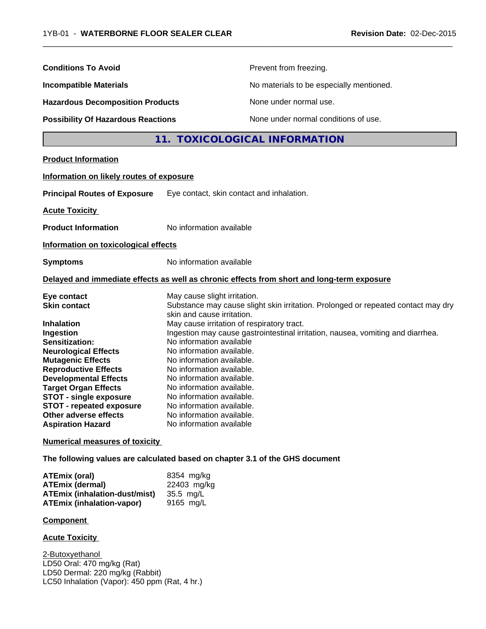$\frac{1}{2}$  , and the set of the set of the set of the set of the set of the set of the set of the set of the set of the set of the set of the set of the set of the set of the set of the set of the set of the set of the set

| <b>Conditions To Avoid</b>                                                                                                                                                                                                                                                                                                                                        |                                                                                                                                                                                                                                                                                                                                                                                                                                                                                                                                                                                  | Prevent from freezing.                                                                     |
|-------------------------------------------------------------------------------------------------------------------------------------------------------------------------------------------------------------------------------------------------------------------------------------------------------------------------------------------------------------------|----------------------------------------------------------------------------------------------------------------------------------------------------------------------------------------------------------------------------------------------------------------------------------------------------------------------------------------------------------------------------------------------------------------------------------------------------------------------------------------------------------------------------------------------------------------------------------|--------------------------------------------------------------------------------------------|
| <b>Incompatible Materials</b>                                                                                                                                                                                                                                                                                                                                     |                                                                                                                                                                                                                                                                                                                                                                                                                                                                                                                                                                                  | No materials to be especially mentioned.                                                   |
| <b>Hazardous Decomposition Products</b>                                                                                                                                                                                                                                                                                                                           |                                                                                                                                                                                                                                                                                                                                                                                                                                                                                                                                                                                  | None under normal use.                                                                     |
| <b>Possibility Of Hazardous Reactions</b>                                                                                                                                                                                                                                                                                                                         |                                                                                                                                                                                                                                                                                                                                                                                                                                                                                                                                                                                  | None under normal conditions of use.                                                       |
|                                                                                                                                                                                                                                                                                                                                                                   |                                                                                                                                                                                                                                                                                                                                                                                                                                                                                                                                                                                  | 11. TOXICOLOGICAL INFORMATION                                                              |
| <b>Product Information</b>                                                                                                                                                                                                                                                                                                                                        |                                                                                                                                                                                                                                                                                                                                                                                                                                                                                                                                                                                  |                                                                                            |
| Information on likely routes of exposure                                                                                                                                                                                                                                                                                                                          |                                                                                                                                                                                                                                                                                                                                                                                                                                                                                                                                                                                  |                                                                                            |
| <b>Principal Routes of Exposure</b>                                                                                                                                                                                                                                                                                                                               | Eye contact, skin contact and inhalation.                                                                                                                                                                                                                                                                                                                                                                                                                                                                                                                                        |                                                                                            |
| <b>Acute Toxicity</b>                                                                                                                                                                                                                                                                                                                                             |                                                                                                                                                                                                                                                                                                                                                                                                                                                                                                                                                                                  |                                                                                            |
| <b>Product Information</b>                                                                                                                                                                                                                                                                                                                                        | No information available                                                                                                                                                                                                                                                                                                                                                                                                                                                                                                                                                         |                                                                                            |
| Information on toxicological effects                                                                                                                                                                                                                                                                                                                              |                                                                                                                                                                                                                                                                                                                                                                                                                                                                                                                                                                                  |                                                                                            |
| <b>Symptoms</b>                                                                                                                                                                                                                                                                                                                                                   | No information available                                                                                                                                                                                                                                                                                                                                                                                                                                                                                                                                                         |                                                                                            |
|                                                                                                                                                                                                                                                                                                                                                                   |                                                                                                                                                                                                                                                                                                                                                                                                                                                                                                                                                                                  | Delayed and immediate effects as well as chronic effects from short and long-term exposure |
| Eye contact<br><b>Skin contact</b><br>Inhalation<br>Ingestion<br>Sensitization:<br><b>Neurological Effects</b><br><b>Mutagenic Effects</b><br><b>Reproductive Effects</b><br><b>Developmental Effects</b><br><b>Target Organ Effects</b><br><b>STOT - single exposure</b><br><b>STOT - repeated exposure</b><br>Other adverse effects<br><b>Aspiration Hazard</b> | May cause slight irritation.<br>Substance may cause slight skin irritation. Prolonged or repeated contact may dry<br>skin and cause irritation.<br>May cause irritation of respiratory tract.<br>Ingestion may cause gastrointestinal irritation, nausea, vomiting and diarrhea.<br>No information available<br>No information available.<br>No information available.<br>No information available.<br>No information available.<br>No information available.<br>No information available.<br>No information available.<br>No information available.<br>No information available |                                                                                            |
| <b>Numerical measures of toxicity</b>                                                                                                                                                                                                                                                                                                                             |                                                                                                                                                                                                                                                                                                                                                                                                                                                                                                                                                                                  |                                                                                            |
| The following values are calculated based on chapter 3.1 of the GHS document                                                                                                                                                                                                                                                                                      |                                                                                                                                                                                                                                                                                                                                                                                                                                                                                                                                                                                  |                                                                                            |
| <b>ATEmix (oral)</b><br><b>ATEmix (dermal)</b><br><b>ATEmix (inhalation-dust/mist)</b><br><b>ATEmix (inhalation-vapor)</b>                                                                                                                                                                                                                                        | 8354 mg/kg<br>22403 mg/kg<br>35.5 mg/L<br>9165 mg/L                                                                                                                                                                                                                                                                                                                                                                                                                                                                                                                              |                                                                                            |
| <b>Component</b>                                                                                                                                                                                                                                                                                                                                                  |                                                                                                                                                                                                                                                                                                                                                                                                                                                                                                                                                                                  |                                                                                            |
| <b>Acute Toxicity</b>                                                                                                                                                                                                                                                                                                                                             |                                                                                                                                                                                                                                                                                                                                                                                                                                                                                                                                                                                  |                                                                                            |
| 2-Butoxyethanol<br>LD50 Oral: 470 mg/kg (Rat)                                                                                                                                                                                                                                                                                                                     |                                                                                                                                                                                                                                                                                                                                                                                                                                                                                                                                                                                  |                                                                                            |

LD50 Dermal: 220 mg/kg (Rabbit) LC50 Inhalation (Vapor): 450 ppm (Rat, 4 hr.)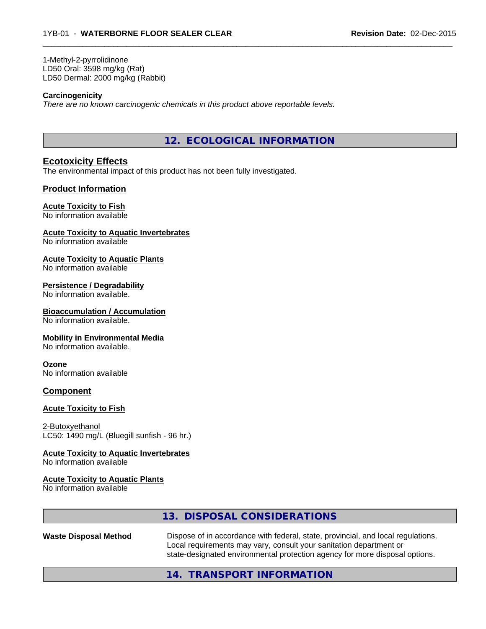1-Methyl-2-pyrrolidinone LD50 Oral: 3598 mg/kg (Rat) LD50 Dermal: 2000 mg/kg (Rabbit)

### **Carcinogenicity**

*There are no known carcinogenic chemicals in this product above reportable levels.*

**12. ECOLOGICAL INFORMATION**

 $\overline{\phantom{a}}$  ,  $\overline{\phantom{a}}$  ,  $\overline{\phantom{a}}$  ,  $\overline{\phantom{a}}$  ,  $\overline{\phantom{a}}$  ,  $\overline{\phantom{a}}$  ,  $\overline{\phantom{a}}$  ,  $\overline{\phantom{a}}$  ,  $\overline{\phantom{a}}$  ,  $\overline{\phantom{a}}$  ,  $\overline{\phantom{a}}$  ,  $\overline{\phantom{a}}$  ,  $\overline{\phantom{a}}$  ,  $\overline{\phantom{a}}$  ,  $\overline{\phantom{a}}$  ,  $\overline{\phantom{a}}$ 

# **Ecotoxicity Effects**

The environmental impact of this product has not been fully investigated.

### **Product Information**

### **Acute Toxicity to Fish**

No information available

# **Acute Toxicity to Aquatic Invertebrates**

No information available

#### **Acute Toxicity to Aquatic Plants**

No information available

#### **Persistence / Degradability**

No information available.

#### **Bioaccumulation / Accumulation**

No information available.

#### **Mobility in Environmental Media**

No information available.

#### **Ozone**

No information available

### **Component**

#### **Acute Toxicity to Fish**

2-Butoxyethanol LC50: 1490 mg/L (Bluegill sunfish - 96 hr.)

#### **Acute Toxicity to Aquatic Invertebrates**

No information available

#### **Acute Toxicity to Aquatic Plants**

No information available

|                              | 13. DISPOSAL CONSIDERATIONS                                                                                                                                                                                                           |  |
|------------------------------|---------------------------------------------------------------------------------------------------------------------------------------------------------------------------------------------------------------------------------------|--|
| <b>Waste Disposal Method</b> | Dispose of in accordance with federal, state, provincial, and local regulations.<br>Local requirements may vary, consult your sanitation department or<br>state-designated environmental protection agency for more disposal options. |  |
|                              | 14. TRANSPORT INFORMATION                                                                                                                                                                                                             |  |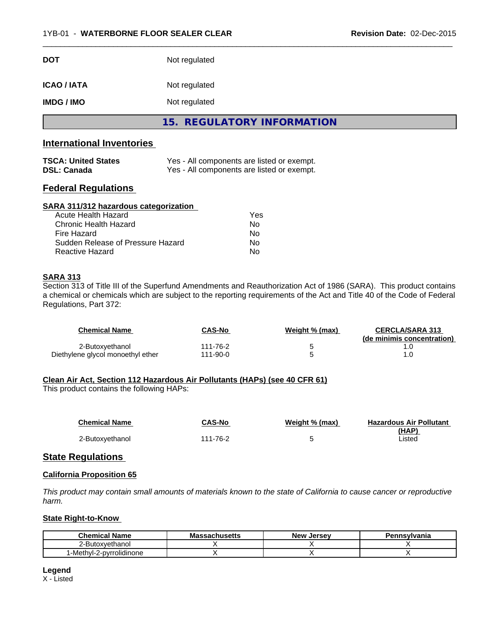| <b>DOT</b>        | Not regulated |
|-------------------|---------------|
| <b>ICAO/IATA</b>  | Not regulated |
| <b>IMDG / IMO</b> | Not regulated |

**15. REGULATORY INFORMATION**

 $\overline{\phantom{a}}$  ,  $\overline{\phantom{a}}$  ,  $\overline{\phantom{a}}$  ,  $\overline{\phantom{a}}$  ,  $\overline{\phantom{a}}$  ,  $\overline{\phantom{a}}$  ,  $\overline{\phantom{a}}$  ,  $\overline{\phantom{a}}$  ,  $\overline{\phantom{a}}$  ,  $\overline{\phantom{a}}$  ,  $\overline{\phantom{a}}$  ,  $\overline{\phantom{a}}$  ,  $\overline{\phantom{a}}$  ,  $\overline{\phantom{a}}$  ,  $\overline{\phantom{a}}$  ,  $\overline{\phantom{a}}$ 

# **International Inventories**

| <b>TSCA: United States</b> | Yes - All components are listed or exempt. |
|----------------------------|--------------------------------------------|
| <b>DSL: Canada</b>         | Yes - All components are listed or exempt. |

# **Federal Regulations**

# **SARA 311/312 hazardous categorization**

| Acute Health Hazard               | Yes |
|-----------------------------------|-----|
| Chronic Health Hazard             | Nο  |
| Fire Hazard                       | Nο  |
| Sudden Release of Pressure Hazard | Nο  |
| Reactive Hazard                   | Nο  |

# **SARA 313**

Section 313 of Title III of the Superfund Amendments and Reauthorization Act of 1986 (SARA). This product contains a chemical or chemicals which are subject to the reporting requirements of the Act and Title 40 of the Code of Federal Regulations, Part 372:

| <b>Chemical Name</b>              | CAS-No        | Weight % (max) | <b>CERCLA/SARA 313</b><br>(de minimis concentration) |
|-----------------------------------|---------------|----------------|------------------------------------------------------|
| 2-Butoxyethanol                   | ،11-76-2      |                |                                                      |
| Diethylene glycol monoethyl ether | $11 - 90 - 0$ |                |                                                      |

# **Clean Air Act,Section 112 Hazardous Air Pollutants (HAPs) (see 40 CFR 61)**

This product contains the following HAPs:

| <b>Chemical Name</b> | CAS-No   | Weight % (max) | <b>Hazardous Air Pollutant</b> |
|----------------------|----------|----------------|--------------------------------|
| 2-Butoxyethanol      | 111-76-2 |                | (HAP)<br>∟isted                |

# **State Regulations**

# **California Proposition 65**

This product may contain small amounts of materials known to the state of California to cause cancer or reproductive *harm.*

### **State Right-to-Know**

| Chemical<br>. .<br><b>Name</b>       | sachusetts<br>Mas | <b>Jersev</b><br><b>New</b> | Pennsylvania |
|--------------------------------------|-------------------|-----------------------------|--------------|
| 2-Butoxvethanol                      |                   |                             |              |
| <sup>1</sup> -Methyl-2-pyrrolidinone |                   |                             |              |

**Legend**